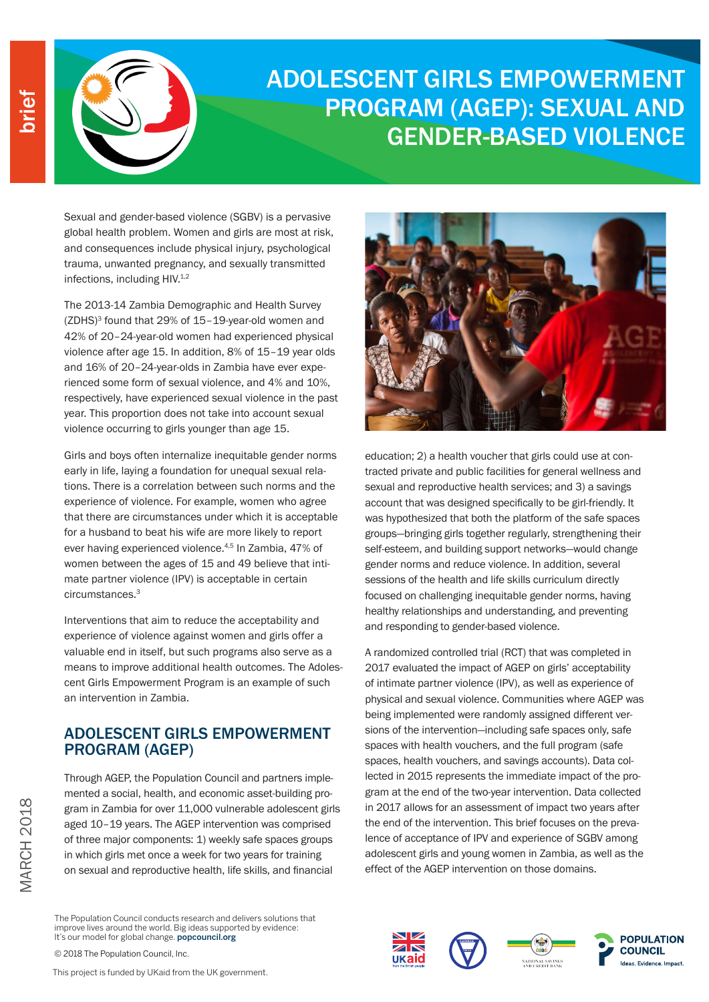

# ADOLESCENT GIRLS EMPOWERMENT PROGRAM (AGEP): SEXUAL AND GENDER-BASED VIOLENCE

Sexual and gender-based violence (SGBV) is a pervasive global health problem. Women and girls are most at risk, and consequences include physical injury, psychological trauma, unwanted pregnancy, and sexually transmitted infections, including HIV.<sup>1,2</sup>

The 2013-14 Zambia Demographic and Health Survey (ZDHS)3 found that 29% of 15–19-year-old women and 42% of 20–24-year-old women had experienced physical violence after age 15. In addition, 8% of 15–19 year olds and 16% of 20–24-year-olds in Zambia have ever experienced some form of sexual violence, and 4% and 10%, respectively, have experienced sexual violence in the past year. This proportion does not take into account sexual violence occurring to girls younger than age 15.

Girls and boys often internalize inequitable gender norms early in life, laying a foundation for unequal sexual relations. There is a correlation between such norms and the experience of violence. For example, women who agree that there are circumstances under which it is acceptable for a husband to beat his wife are more likely to report ever having experienced violence.4,5 In Zambia, 47% of women between the ages of 15 and 49 believe that intimate partner violence (IPV) is acceptable in certain circumstances.3

Interventions that aim to reduce the acceptability and experience of violence against women and girls offer a valuable end in itself, but such programs also serve as a means to improve additional health outcomes. The Adolescent Girls Empowerment Program is an example of such an intervention in Zambia.

#### ADOLESCENT GIRLS EMPOWERMENT PROGRAM (AGEP)

Through AGEP, the Population Council and partners implemented a social, health, and economic asset-building program in Zambia for over 11,000 vulnerable adolescent girls aged 10–19 years. The AGEP intervention was comprised of three major components: 1) weekly safe spaces groups in which girls met once a week for two years for training on sexual and reproductive health, life skills, and financial

The Population Council conducts research and delivers solutions that improve lives around the world. Big ideas supported by evidence: It's our model for global change. popcouncil.org

© 2018 The Population Council, Inc.



education; 2) a health voucher that girls could use at contracted private and public facilities for general wellness and sexual and reproductive health services; and 3) a savings account that was designed specifically to be girl-friendly. It was hypothesized that both the platform of the safe spaces groups—bringing girls together regularly, strengthening their self-esteem, and building support networks—would change gender norms and reduce violence. In addition, several sessions of the health and life skills curriculum directly focused on challenging inequitable gender norms, having healthy relationships and understanding, and preventing and responding to gender-based violence.

A randomized controlled trial (RCT) that was completed in 2017 evaluated the impact of AGEP on girls' acceptability of intimate partner violence (IPV), as well as experience of physical and sexual violence. Communities where AGEP was being implemented were randomly assigned different versions of the intervention—including safe spaces only, safe spaces with health vouchers, and the full program (safe spaces, health vouchers, and savings accounts). Data collected in 2015 represents the immediate impact of the program at the end of the two-year intervention. Data collected in 2017 allows for an assessment of impact two years after the end of the intervention. This brief focuses on the prevalence of acceptance of IPV and experience of SGBV among adolescent girls and young women in Zambia, as well as the effect of the AGEP intervention on those domains.